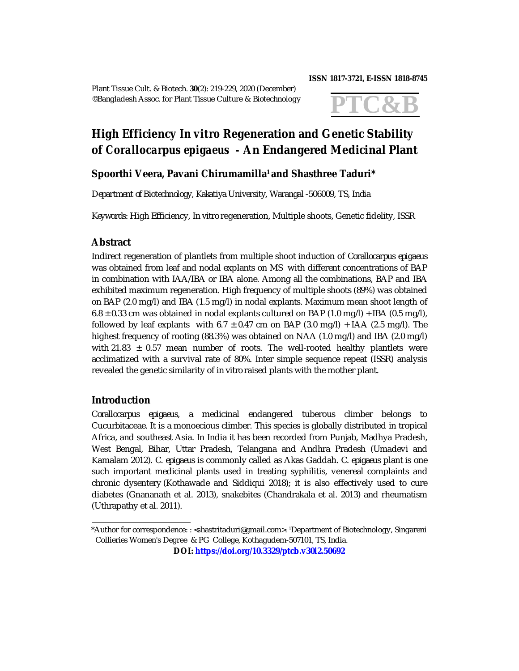Plant Tissue Cult. & Biotech. **30**(2): 219-229, 2020 (December) ©Bangladesh Assoc. for Plant Tissue Culture & Biotechnology

#### **ISSN 1817-3721, E-ISSN 1818-8745**



# **High Efficiency** *In vitro* **Regeneration and Genetic Stability of** *Corallocarpus epigaeus -* **An Endangered Medicinal Plant**

# **Spoorthi Veera, Pavani Chirumamilla1 and Shasthree Taduri\***

*Department of Biotechnology, Kakatiya University, Warangal -506009, TS, India*

*Keywords:* High Efficiency, *In vitro* regeneration, Multiple shoots, Genetic fidelity, ISSR

## **Abstract**

Indirect regeneration of plantlets from multiple shoot induction of *Corallocarpus epigaeus* was obtained from leaf and nodal explants on MS with different concentrations of BAP in combination with IAA/IBA or IBA alone. Among all the combinations, BAP and IBA exhibited maximum regeneration. High frequency of multiple shoots (89%) was obtained on BAP (2.0 mg/l) and IBA (1.5 mg/l) in nodal explants. Maximum mean shoot length of  $6.8 \pm 0.33$  cm was obtained in nodal explants cultured on BAP (1.0 mg/l) + IBA (0.5 mg/l), followed by leaf explants with 6.7  $\pm$  0.47 cm on BAP (3.0 mg/l) + IAA (2.5 mg/l). The highest frequency of rooting (88.3%) was obtained on NAA (1.0 mg/l) and IBA (2.0 mg/l) with 21.83  $\pm$  0.57 mean number of roots. The well-rooted healthy plantlets were acclimatized with a survival rate of 80%. Inter simple sequence repeat (ISSR) analysis revealed the genetic similarity of *in vitro* raised plants with the mother plant.

## **Introduction**

*Corallocarpus epigaeus,* a medicinal endangered tuberous climber belongs to Cucurbitaceae. It is a monoecious climber. This species is globally distributed in tropical Africa, and southeast Asia. In India it has been recorded from Punjab, Madhya Pradesh, West Bengal, Bihar, Uttar Pradesh, Telangana and Andhra Pradesh (Umadevi and Kamalam 2012). *C. epigaeus* is commonly called as Akas Gaddah. *C. epigaeus* plant is one such important medicinal plants used in treating syphilitis, venereal complaints and chronic dysentery (Kothawade and Siddiqui 2018); it is also effectively used to cure diabetes (Gnananath et al. 2013), snakebites (Chandrakala et al. 2013) and rheumatism (Uthrapathy et al. 2011).

<sup>\*</sup>Author for correspondence: : <[shastritaduri@gmail.com>](mailto:shastritaduri@gmail.com). 1Department of Biotechnology, Singareni Collieries Women's Degree & PG College*,* Kothagudem*-*507101, TS, India.

**DOI:<https://doi.org/10.3329/ptcb.v30i2.50692>**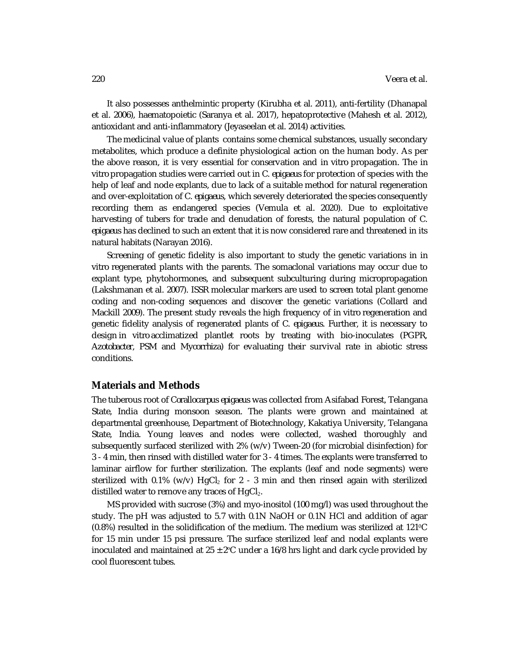It also possesses anthelmintic property (Kirubha et al. 2011), anti-fertility (Dhanapal et al. 2006), haematopoietic (Saranya et al. 2017), hepatoprotective (Mahesh et al. 2012), antioxidant and anti-inflammatory (Jeyaseelan et al. 2014) activities.

The medicinal value of plants contains some chemical substances, usually secondary metabolites, which produce a definite physiological action on the human body. As per the above reason, it is very essential for conservation and *in vitro* propagation. The *in vitro* propagation studies were carried out in *C. epigaeus* for protection of species with the help of leaf and node explants, due to lack of a suitable method for natural regeneration and over-exploitation of *C. epigaeus,* which severely deteriorated the species consequently recording them as endangered species (Vemula et al. 2020). Due to exploitative harvesting of tubers for trade and denudation of forests, the natural population of *C. epigaeus* has declined to such an extent that it is now considered rare and threatened in its natural habitats (Narayan 2016).

Screening of genetic fidelity is also important to study the genetic variations in *in vitro* regenerated plants with the parents. The somaclonal variations may occur due to explant type, phytohormones, and subsequent subculturing during micropropagation (Lakshmanan et al. 2007). ISSR molecular markers are used to screen total plant genome coding and non-coding sequences and discover the genetic variations (Collard and Mackill 2009). The present study reveals the high frequency of *in vitro* regeneration and genetic fidelity analysis of regenerated plants of *C. epigaeus.* Further, it is necessary to design *in vitro* acclimatized plantlet roots by treating with bio-inoculates (PGPR, *Azotobacter*, PSM and *Mycorrhiza*) for evaluating their survival rate in abiotic stress conditions.

#### **Materials and Methods**

The tuberous root of *Corallocarpus epigaeus* was collected from Asifabad Forest, Telangana State, India during monsoon season. The plants were grown and maintained at departmental greenhouse, Department of Biotechnology, Kakatiya University, Telangana State, India. Young leaves and nodes were collected, washed thoroughly and subsequently surfaced sterilized with 2% (w/v) Tween-20 (for microbial disinfection) for 3 - 4 min, then rinsed with distilled water for 3 - 4 times. The explants were transferred to laminar airflow for further sterilization. The explants (leaf and node segments) were sterilized with 0.1% (w/v)  $HgCl<sub>2</sub>$  for 2 - 3 min and then rinsed again with sterilized distilled water to remove any traces of  $HqCl<sub>2</sub>$ .

MS provided with sucrose (3%) and myo-inositol (100 mg/l) was used throughout the study. The pH was adjusted to 5.7 with 0.1N NaOH or 0.1N HCl and addition of agar (0.8%) resulted in the solidification of the medium. The medium was sterilized at 121⁰C for 15 min under 15 psi pressure. The surface sterilized leaf and nodal explants were inoculated and maintained at  $25 \pm 2^{\circ}$ C under a 16/8 hrs light and dark cycle provided by cool fluorescent tubes.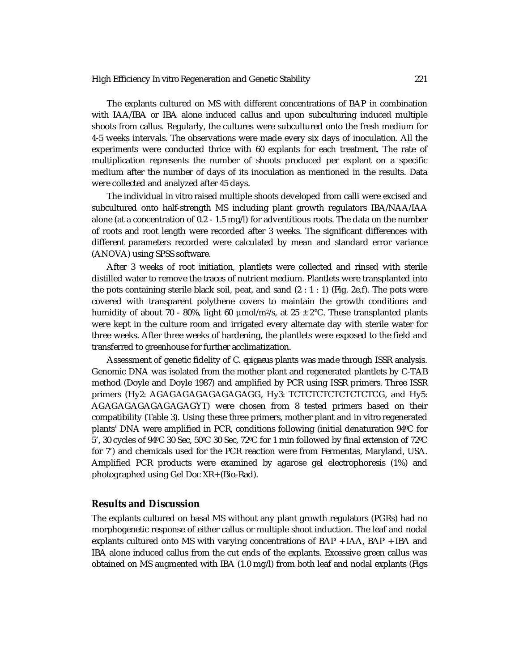The explants cultured on MS with different concentrations of BAP in combination with IAA/IBA or IBA alone induced callus and upon subculturing induced multiple shoots from callus. Regularly, the cultures were subcultured onto the fresh medium for 4-5 weeks intervals. The observations were made every six days of inoculation. All the experiments were conducted thrice with 60 explants for each treatment. The rate of multiplication represents the number of shoots produced per explant on a specific medium after the number of days of its inoculation as mentioned in the results. Data were collected and analyzed after 45 days.

The individual *in vitro* raised multiple shoots developed from calli were excised and subcultured onto half-strength MS including plant growth regulators IBA/NAA/IAA alone (at a concentration of 0.2 - 1.5 mg/l) for adventitious roots. The data on the number of roots and root length were recorded after 3 weeks. The significant differences with different parameters recorded were calculated by mean and standard error variance (ANOVA) using SPSS software.

After 3 weeks of root initiation, plantlets were collected and rinsed with sterile distilled water to remove the traces of nutrient medium. Plantlets were transplanted into the pots containing sterile black soil, peat, and sand  $(2 : 1 : 1)$  (Fig. 2e, f). The pots were covered with transparent polythene covers to maintain the growth conditions and humidity of about 70 - 80%, light 60  $\mu$ mol/m<sup>2</sup>/s, at 25  $\pm$  2°C. These transplanted plants were kept in the culture room and irrigated every alternate day with sterile water for three weeks. After three weeks of hardening, the plantlets were exposed to the field and transferred to greenhouse for further acclimatization.

Assessment of genetic fidelity of *C. epigaeus* plants was made through ISSR analysis. Genomic DNA was isolated from the mother plant and regenerated plantlets by C-TAB method (Doyle and Doyle 1987) and amplified by PCR using ISSR primers. Three ISSR primers (Hy2: AGAGAGAGAGAGAGAGG, Hy3: TCTCTCTCTCTCTCTCG, and Hy5: AGAGAGAGAGAGAGAGYT) were chosen from 8 tested primers based on their compatibility (Table 3). Using these three primers, mother plant and *in vitro* regenerated plants' DNA were amplified in PCR, conditions following (initial denaturation 94°C for  $5'$ , 30 cycles of 94°C 30 Sec,  $50^{\circ}$ C 30 Sec,  $72^{\circ}$ C for 1 min followed by final extension of  $72^{\circ}$ C for 7') and chemicals used for the PCR reaction were from Fermentas, Maryland, USA. Amplified PCR products were examined by agarose gel electrophoresis (1%) and photographed using Gel Doc XR+ (Bio-Rad).

#### **Results and Discussion**

The explants cultured on basal MS without any plant growth regulators (PGRs) had no morphogenetic response of either callus or multiple shoot induction. The leaf and nodal explants cultured onto MS with varying concentrations of BAP + IAA, BAP + IBA and IBA alone induced callus from the cut ends of the explants. Excessive green callus was obtained on MS augmented with IBA (1.0 mg/l) from both leaf and nodal explants (Figs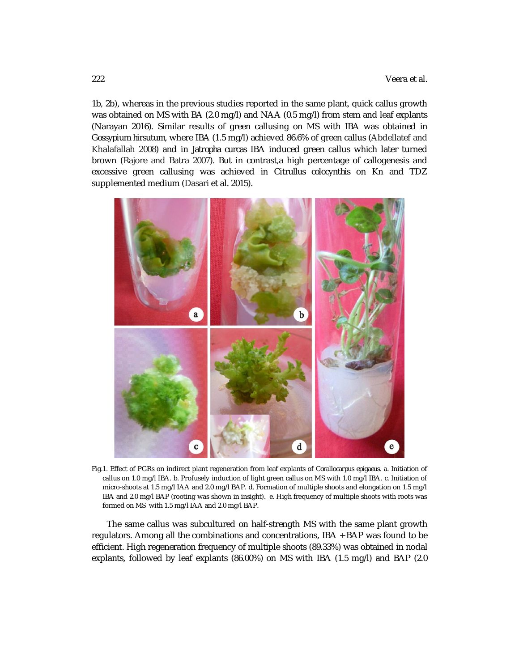1b, 2b), whereas in the previous studies reported in the same plant, quick callus growth was obtained on MS with BA (2.0 mg/l) and NAA (0.5 mg/l) from stem and leaf explants (Narayan 2016). Similar results of green callusing on MS with IBA was obtained in *Gossypium hirsutum*, where IBA (1.5 mg/l) achieved 86.6% of green callus (Abdellatef and Khalafallah 2008) and in *Jatropha curcas* IBA induced green callus which later turned brown (Rajore and Batra 2007). But in contrast,a high percentage of callogenesis and excessive green callusing was achieved in *Citrullus colocynthis* on Kn and TDZ supplemented medium (Dasari et al. 2015).



Fig.1. Effect of PGRs on indirect plant regeneration from leaf explants of *Corallocarpus epigaeus*. a. Initiation of callus on 1.0 mg/l IBA. b. Profusely induction of light green callus on MS with 1.0 mg/l IBA. c. Initiation of micro-shoots at 1.5 mg/l IAA and 2.0 mg/l BAP. d. Formation of multiple shoots and elongation on 1.5 mg/l IBA and 2.0 mg/l BAP (rooting was shown in insight). e. High frequency of multiple shoots with roots was formed on MS with 1.5 mg/l IAA and 2.0 mg/l BAP.

The same callus was subcultured on half-strength MS with the same plant growth regulators. Among all the combinations and concentrations, IBA + BAP was found to be efficient. High regeneration frequency of multiple shoots (89.33%) was obtained in nodal explants, followed by leaf explants (86.00%) on MS with IBA (1.5 mg/l) and BAP (2.0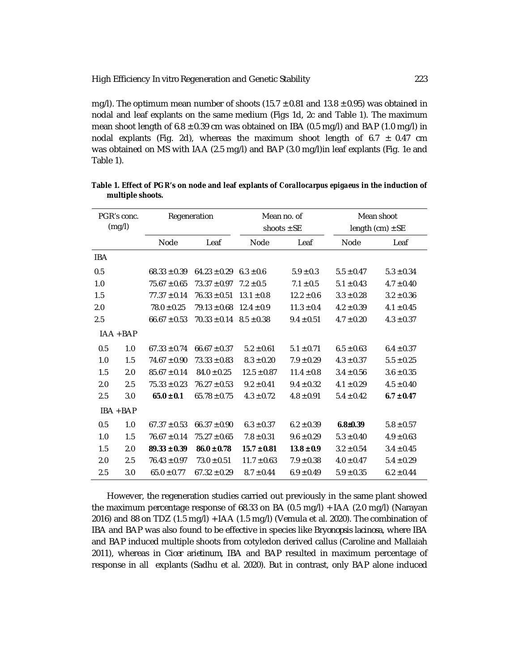mg/l). The optimum mean number of shoots (15.7  $\pm$  0.81 and 13.8  $\pm$  0.95) was obtained in nodal and leaf explants on the same medium (Figs 1d, 2c and Table 1). The maximum mean shoot length of  $6.8 \pm 0.39$  cm was obtained on IBA (0.5 mg/l) and BAP (1.0 mg/l) in nodal explants (Fig. 2d), whereas the maximum shoot length of 6.7  $\pm$  0.47 cm was obtained on MS with IAA (2.5 mg/l) and BAP (3.0 mg/l)in leaf explants (Fig. 1e and Table 1).

| PGR's conc. |             | Regeneration     |                  | Mean no. of     |                | Mean shoot           |                |
|-------------|-------------|------------------|------------------|-----------------|----------------|----------------------|----------------|
| (mg/l)      |             |                  |                  | shoots $\pm$ SE |                | length $(cm) \pm SE$ |                |
|             |             | Node             | Leaf             | Node            | Leaf           | Node                 | Leaf           |
| <b>IBA</b>  |             |                  |                  |                 |                |                      |                |
| 0.5         |             | $68.33 \pm 0.39$ | $64.23 \pm 0.29$ | $6.3 \pm 0.6$   | $5.9 \pm 0.3$  | $5.5 \pm 0.47$       | $5.3 \pm 0.34$ |
| 1.0         |             | $75.67 \pm 0.65$ | $73.37 \pm 0.97$ | $7.2 \pm 0.5$   | $7.1 \pm 0.5$  | $5.1 \pm 0.43$       | $4.7 \pm 0.40$ |
| 1.5         |             | $77.37 \pm 0.14$ | $76.33 \pm 0.51$ | $13.1 \pm 0.8$  | $12.2 \pm 0.6$ | $3.3 \pm 0.28$       | $3.2 \pm 0.36$ |
| 2.0         |             | $78.0 \pm 0.25$  | $79.13 \pm 0.68$ | $12.4 \pm 0.9$  | $11.3 \pm 0.4$ | $4.2 \pm 0.39$       | $4.1 \pm 0.45$ |
| 2.5         |             | $66.67 \pm 0.53$ | $70.33 \pm 0.14$ | $8.5 \pm 0.38$  | $9.4 \pm 0.51$ | $4.7 \pm 0.20$       | $4.3 \pm 0.37$ |
|             | $IAA + BAP$ |                  |                  |                 |                |                      |                |
| 0.5         | 1.0         | $67.33 \pm 0.74$ | $66.67 \pm 0.37$ | $5.2 \pm 0.61$  | $5.1 \pm 0.71$ | $6.5 \pm 0.63$       | $6.4 \pm 0.37$ |
| 1.0         | 1.5         | $74.67 \pm 0.90$ | $73.33 \pm 0.83$ | $8.3 \pm 0.20$  | $7.9 \pm 0.29$ | $4.3 \pm 0.37$       | $5.5 \pm 0.25$ |
| 1.5         | 2.0         | $85.67 \pm 0.14$ | $84.0 \pm 0.25$  | $12.5 \pm 0.87$ | $11.4 \pm 0.8$ | $3.4 \pm 0.56$       | $3.6 \pm 0.35$ |
| 2.0         | 2.5         | $75.33 \pm 0.23$ | $76.27 \pm 0.53$ | $9.2 \pm 0.41$  | $9.4 \pm 0.32$ | $4.1 \pm 0.29$       | $4.5 \pm 0.40$ |
| 2.5         | 3.0         | $65.0 \pm 0.1$   | $65.78 \pm 0.75$ | $4.3 \pm 0.72$  | $4.8 \pm 0.91$ | $5.4 \pm 0.42$       | $6.7 \pm 0.47$ |
| IBA + BAP   |             |                  |                  |                 |                |                      |                |
| 0.5         | 1.0         | $67.37 \pm 0.53$ | $66.37 \pm 0.90$ | $6.3 \pm 0.37$  | $6.2 \pm 0.39$ | $6.8 \pm 0.39$       | $5.8 \pm 0.57$ |
| 1.0         | 1.5         | $76.67 \pm 0.14$ | $75.27 \pm 0.65$ | $7.8 \pm 0.31$  | $9.6 \pm 0.29$ | $5.3 \pm 0.40$       | $4.9 \pm 0.63$ |
| 1.5         | 2.0         | $89.33 \pm 0.39$ | $86.0 \pm 0.78$  | $15.7 \pm 0.81$ | $13.8 \pm 0.9$ | $3.2 \pm 0.54$       | $3.4 \pm 0.45$ |
| 2.0         | 2.5         | $76.43 \pm 0.97$ | $73.0 \pm 0.51$  | $11.7 \pm 0.63$ | $7.9 \pm 0.38$ | $4.0 \pm 0.47$       | $5.4 \pm 0.29$ |
| 2.5         | 3.0         | $65.0 \pm 0.77$  | $67.32 \pm 0.29$ | $8.7 \pm 0.44$  | $6.9 \pm 0.49$ | $5.9 \pm 0.35$       | $6.2 \pm 0.44$ |

**Table 1. Effect of PGR's on node and leaf explants of** *Corallocarpus epigaeus* **in the induction of multiple shoots.**

However, the regeneration studies carried out previously in the same plant showed the maximum percentage response of 68.33 on BA (0.5 mg/l) + IAA (2.0 mg/l) (Narayan 2016) and 88 on TDZ (1.5 mg/l) + IAA (1.5 mg/l) (Vemula et al. 2020). The combination of IBA and BAP was also found to be effective in species like *Bryonopsis lacinosa*, where IBA and BAP induced multiple shoots from cotyledon derived callus (Caroline and Mallaiah 2011), whereas in *Cicer arietinum*, IBA and BAP resulted in maximum percentage of response in all explants (Sadhu et al. 2020). But in contrast, only BAP alone induced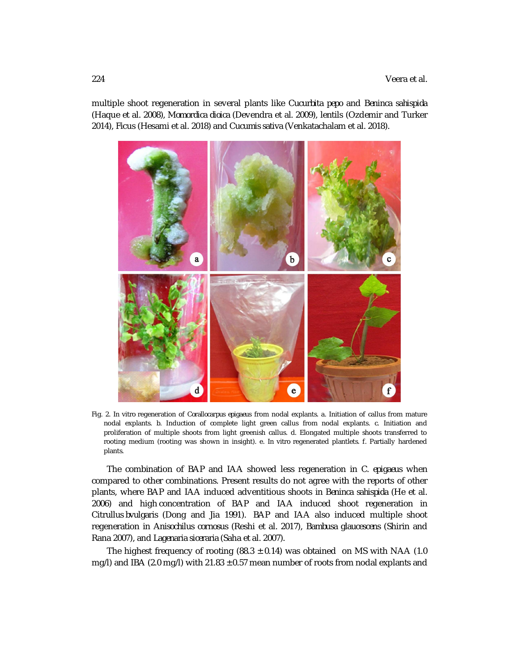multiple shoot regeneration in several plants like *Cucurbita pepo* and *Beninca sahispida* (Haque et al. 2008), *Momordica dioica* (Devendra et al. 2009), lentils (Ozdemir and Turker 2014), Ficus (Hesami et al. 2018) and *Cucumis sativa* (Venkatachalam et al. 2018).



Fig. 2. *In vitro* regeneration of *Corallocarpus epigaeus* from nodal explants. a. Initiation of callus from mature nodal explants. b. Induction of complete light green callus from nodal explants. c. Initiation and proliferation of multiple shoots from light greenish callus. d. Elongated multiple shoots transferred to rooting medium (rooting was shown in insight). e. *In vitro* regenerated plantlets. f. Partially hardened plants.

The combination of BAP and IAA showed less regeneration in *C. epigaeus* when compared to other combinations. Present results do not agree with the reports of other plants, where BAP and IAA induced adventitious shoots in *Beninca sahispida* (He et al. 2006) and high concentration of BAP and IAA induced shoot regeneration in *Citrullus bvulgaris* (Dong and Jia 1991). BAP and IAA also induced multiple shoot regeneration in *Anisochilus cornosus* (Reshi et al. 2017), *Bambusa glaucescens* (Shirin and Rana 2007), and *Lagenaria siceraria* (Saha et al. 2007).

The highest frequency of rooting  $(88.3 \pm 0.14)$  was obtained on MS with NAA (1.0) mg/l) and IBA (2.0 mg/l) with  $21.83 \pm 0.57$  mean number of roots from nodal explants and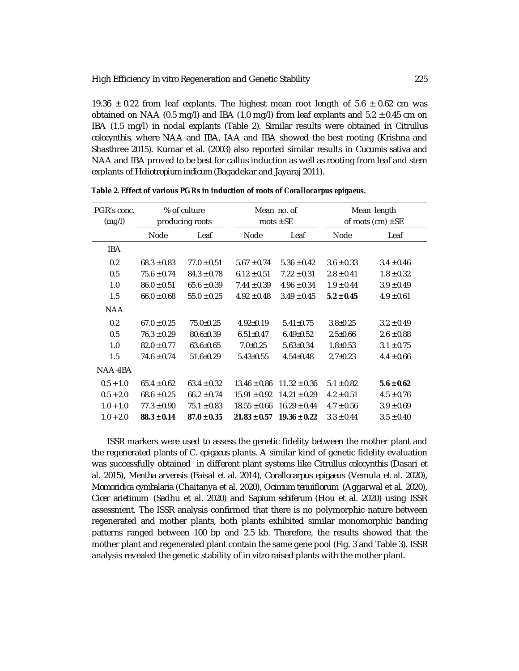19.36  $\pm$  0.22 from leaf explants. The highest mean root length of 5.6  $\pm$  0.62 cm was obtained on NAA (0.5 mg/l) and IBA (1.0 mg/l) from leaf explants and  $5.2 \pm 0.45$  cm on IBA (1.5 mg/l) in nodal explants (Table 2). Similar results were obtained in *Citrullus colocynthis,* where NAA and IBA, IAA and IBA showed the best rooting (Krishna and Shasthree 2015). Kumar et al. (2003) also reported similar results in *Cucumis sativa* and NAA and IBA proved to be best for callus induction as well as rooting from leaf and stem explants of *Heliotropium indicum* (Bagadekar and Jayaraj 2011).

| PGR's conc. | % of culture    |                 | Mean no. of      |                  | Mean length            |                |
|-------------|-----------------|-----------------|------------------|------------------|------------------------|----------------|
| (mg/l)      | producing roots |                 | roots $\pm$ SE   |                  | of roots (cm) $\pm$ SE |                |
|             | <b>Node</b>     | Leaf            | <b>Node</b>      | Leaf             | <b>Node</b>            | Leaf           |
| <b>IBA</b>  |                 |                 |                  |                  |                        |                |
| 0.2         | $68.3 \pm 0.83$ | $77.0 \pm 0.51$ | $5.67 \pm 0.74$  | $5.36 \pm 0.42$  | $3.6 \pm 0.33$         | $3.4 \pm 0.46$ |
| 0.5         | $75.6 \pm 0.74$ | $84.3 \pm 0.78$ | $6.12 \pm 0.51$  | $7.22 \pm 0.31$  | $2.8 \pm 0.41$         | $1.8 \pm 0.32$ |
| 1.0         | $86.0 \pm 0.51$ | $65.6 \pm 0.39$ | $7.44 \pm 0.39$  | $4.96 \pm 0.34$  | $1.9 \pm 0.44$         | $3.9 \pm 0.49$ |
| 1.5         | $66.0 \pm 0.68$ | $55.0 \pm 0.25$ | $4.92 \pm 0.48$  | $3.49 \pm 0.45$  | $5.2 \pm 0.45$         | $4.9 \pm 0.61$ |
| <b>NAA</b>  |                 |                 |                  |                  |                        |                |
| 0.2         | $67.0 \pm 0.25$ | $75.0 \pm 0.25$ | $4.92 \pm 0.19$  | $5.41 \pm 0.75$  | $3.8 \pm 0.25$         | $3.2 \pm 0.49$ |
| 0.5         | $76.3 \pm 0.29$ | $80.6 \pm 0.39$ | $6.51 \pm 0.47$  | $6.49 \pm 0.52$  | $2.5 \pm 0.66$         | $2.6 \pm 0.88$ |
| 1.0         | $82.0 \pm 0.77$ | $63.6 \pm 0.65$ | $7.0 \pm 0.25$   | $5.63 \pm 0.34$  | $1.8 + 0.53$           | $3.1 \pm 0.75$ |
| 1.5         | $74.6 \pm 0.74$ | $51.6 \pm 0.29$ | $5.43 \pm 0.55$  | $4.54 \pm 0.48$  | $2.7 \pm 0.23$         | $4.4 \pm 0.66$ |
| $NAA+IBA$   |                 |                 |                  |                  |                        |                |
| $0.5 + 1.0$ | $65.4 \pm 0.62$ | $63.4 \pm 0.32$ | $13.46 \pm 0.86$ | $11.32 \pm 0.36$ | $5.1 \pm 0.82$         | $5.6 \pm 0.62$ |
| $0.5 + 2.0$ | $68.6 \pm 0.25$ | $66.2 \pm 0.74$ | $15.91 \pm 0.92$ | $14.21 \pm 0.29$ | $4.2 \pm 0.51$         | $4.5 \pm 0.76$ |
| $1.0 + 1.0$ | $77.3 \pm 0.90$ | $75.1 \pm 0.83$ | $18.55 \pm 0.66$ | $16.29 \pm 0.44$ | $4.7 \pm 0.56$         | $3.9 \pm 0.69$ |
| $1.0 + 2.0$ | $88.3 \pm 0.14$ | $87.0 \pm 0.35$ | $21.83 \pm 0.57$ | $19.36 \pm 0.22$ | $3.3 \pm 0.44$         | $3.5 \pm 0.40$ |

| Table 2. Effect of various PGRs in induction of roots of Corallocarpus epigaeus. |  |  |
|----------------------------------------------------------------------------------|--|--|
|----------------------------------------------------------------------------------|--|--|

ISSR markers were used to assess the genetic fidelity between the mother plant and the regenerated plants of *C. epigaeus* plants. A similar kind of genetic fidelity evaluation was successfully obtained in different plant systems like *Citrullus colocynthis* (Dasari et al. 2015), *Mentha arvensis* (Faisal et al. 2014), *Corallocarpus epigaeus* (Vemula et al. 2020), *Momoridica cymbalaria* (Chaitanya et al. 2020), *Ocimum tenuiflorum* (Aggarwal et al. 2020), *Cicer arietinum* (Sadhu et al. 2020) and *Sapium sebiferum* (Hou et al. 2020) using ISSR assessment. The ISSR analysis confirmed that there is no polymorphic nature between regenerated and mother plants, both plants exhibited similar monomorphic banding patterns ranged between 100 bp and 2.5 kb. Therefore, the results showed that the mother plant and regenerated plant contain the same gene pool (Fig. 3 and Table 3). ISSR analysis revealed the genetic stability of *in vitro* raised plants with the mother plant.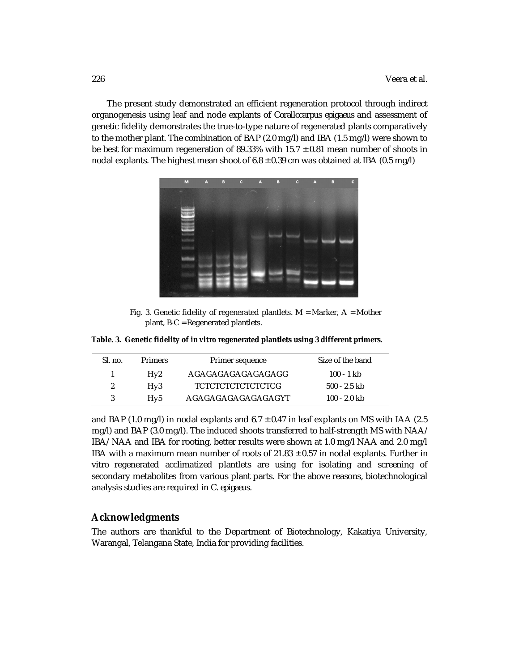The present study demonstrated an efficient regeneration protocol through indirect organogenesis using leaf and node explants of *Corallocarpus epigaeus* and assessment of genetic fidelity demonstrates the true-to-type nature of regenerated plants comparatively to the mother plant. The combination of BAP (2.0 mg/l) and IBA (1.5 mg/l) were shown to be best for maximum regeneration of 89.33% with 15.7  $\pm$  0.81 mean number of shoots in nodal explants. The highest mean shoot of  $6.8 \pm 0.39$  cm was obtained at IBA (0.5 mg/l)



Fig. 3. Genetic fidelity of regenerated plantlets.  $M =$  Marker,  $A =$  Mother plant, B-C = Regenerated plantlets.

**Table. 3. Genetic fidelity of** *in vitro* **regenerated plantlets using 3 different primers.**

| SL no.        | <b>Primers</b> | Primer sequence    | Size of the band |
|---------------|----------------|--------------------|------------------|
|               | Hv2            | AGAGAGAGAGAGAGAGG  | 100 - 1 kb       |
| $\mathcal{L}$ | Hv3            | TCTCTCTCTCTCTCTCG  | $500 - 2.5$ kb   |
|               | Hv5            | AGAGAGAGAGAGAGAGYT | 100 - 2.0 kb     |

and BAP (1.0 mg/l) in nodal explants and  $6.7 \pm 0.47$  in leaf explants on MS with IAA (2.5 mg/l) and BAP (3.0 mg/l). The induced shoots transferred to half-strength MS with NAA/ IBA/ NAA and IBA for rooting, better results were shown at 1.0 mg/l NAA and 2.0 mg/l IBA with a maximum mean number of roots of 21.83 ± 0.57 in nodal explants. Further *in vitro* regenerated acclimatized plantlets are using for isolating and screening of secondary metabolites from various plant parts. For the above reasons, biotechnological analysis studies are required in *C. epigaeus.*

## **Acknowledgments**

The authors are thankful to the Department of Biotechnology, Kakatiya University, Warangal, Telangana State, India for providing facilities.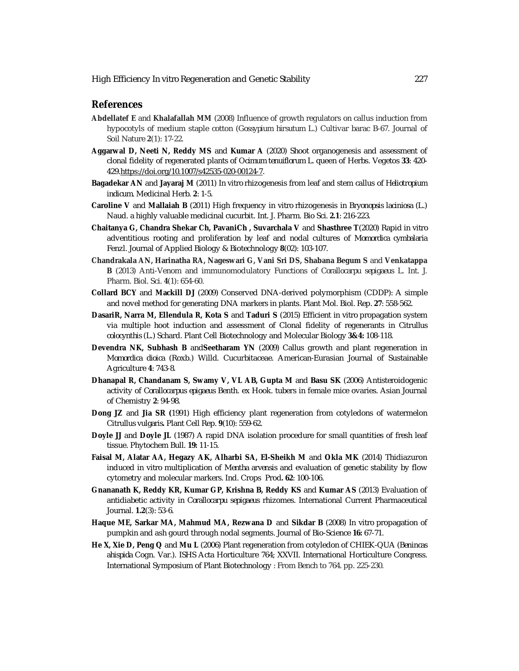## **References**

- **Abdellatef E** and **Khalafallah MM** (2008) Influence of growth regulators on callus induction from hypocotyls of medium staple cotton (*Gossypium hirsutum* L.) Cultivar barac B-67. Journal of Soil Nature **2**(1): 17-22.
- **Aggarwal D, Neeti N, Reddy MS** and **Kumar A** (2020) Shoot organogenesis and assessment of clonal fidelity of regenerated plants of *Ocimum tenuiflorum* L. queen of Herbs. Vegetos **33**: 420- 429.<https://doi.org/10.1007/s42535-020-00124-7.>
- **Bagadekar AN** and **Jayaraj M** (2011) *In vitro* rhizogenesis from leaf and stem callus of *Heliotropium indicum*. Medicinal Herb. **2**: 1-5.
- **Caroline V** and **Mallaiah B** (2011) High frequency *in vitro* rhizogenesis in *Bryonopsis laciniosa* (L.) Naud. a highly valuable medicinal cucurbit. Int. J. Pharm. Bio Sci. **2.1**: 216-223.
- **Chaitanya G, Chandra Shekar Ch, PavaniCh , Suvarchala V** and **Shasthree T**(2020) Rapid *in vitro* adventitious rooting and proliferation by leaf and nodal cultures of *Momordica cymbalaria* Fenzl. Journal of Applied Biology & Biotechnology **8**(02): 103-107.
- **Chandrakala AN, Harinatha RA, Nageswari G, Vani Sri DS, Shabana Begum S** and **Venkatappa B** (2013) Anti-Venom and immunomodulatory Functions of *Corallocarpu sepigaeus* L. Int. J. Pharm. Biol. Sci. **4**(1): 654-60.
- **Collard BCY** and **Mackill DJ** (2009) Conserved DNA-derived polymorphism (CDDP): A simple and novel method for generating DNA markers in plants. Plant Mol. Biol. Rep. **27**: 558-562.
- **DasariR, Narra M, Ellendula R, Kota S** and **Taduri S** (2015) Efficient *in vitro* propagation system via multiple hoot induction and assessment of Clonal fidelity of regenerants in *Citrullus colocynthis* (L.) Schard. Plant Cell Biotechnology and Molecular Biology **3&4:** 108-118.
- **Devendra NK, Subhash B** and**Seetharam YN** (2009) Callus growth and plant regeneration in *Momordica dioica* (Roxb.) Willd. Cucurbitaceae. American-Eurasian Journal of Sustainable Agriculture **4**: 743-8.
- **Dhanapal R, Chandanam S, Swamy V, VL AB, Gupta M** and **Basu SK** (2006) Antisteroidogenic activity of *Corallocarpus epigaeus* Benth. ex Hook. tubers in female mice ovaries. Asian Journal of Chemistry **2**: 94-98.
- **Dong JZ** and **Jia SR (**1991) High efficiency plant regeneration from cotyledons of watermelon *Citrullus vulgaris***.** Plant Cell Rep. **9**(10): 559-62.
- **Doyle JJ** and **Doyle JL** (1987) A rapid DNA isolation procedure for small quantities of fresh leaf tissue. Phytochem Bull. **19:** 11-15.
- **Faisal M, Alatar AA, Hegazy AK, Alharbi SA, El-Sheikh M** and **Okla MK** (2014) Thidiazuron induced *in vitro* multiplication of *Mentha arvensis* and evaluation of genetic stability by flow cytometry and molecular markers. Ind. Crops Prod**. 62**: 100-106.
- **Gnananath K, Reddy KR, Kumar GP, Krishna B, Reddy KS** and **Kumar AS** (2013) Evaluation of antidiabetic activity in *Corallocarpu sepigaeus* rhizomes. International Current Pharmaceutical Journal. **1.2**(3): 53-6.
- **Haque ME, Sarkar MA, Mahmud MA, Rezwana D** and **Sikdar B** (2008) *In vitro* propagation of pumpkin and ash gourd through nodal segments. Journal of Bio-Science **16:** 67-71.
- **He X, Xie D, Peng Q** and **Mu L** (2006) Plant regeneration from cotyledon of CHIEK-QUA (*Benincas ahispida* Cogn. Var.). ISHS Acta Horticulture 764; XXVII. International Horticulture Conqress. International Symposium of Plant Biotechnology : From Bench to 764. pp. 225-230.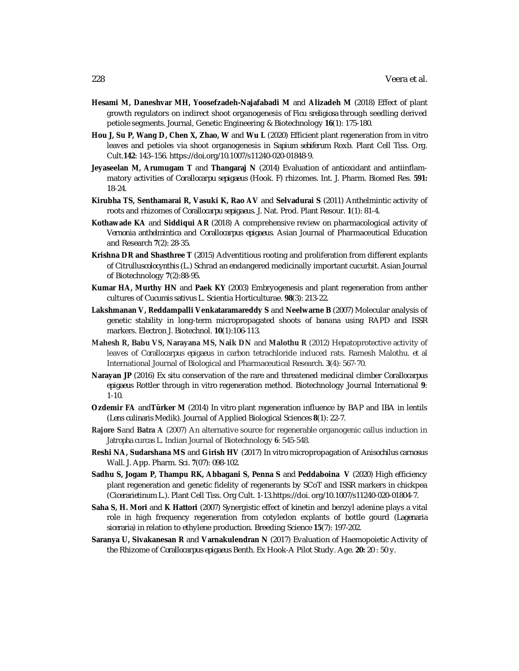- **Hesami M, Daneshvar MH, Yoosefzadeh-Najafabadi M** and **Alizadeh M** (2018) Effect of plant growth regulators on indirect shoot organogenesis of *Ficu sreligiosa* through seedling derived petiole segments. Journal, Genetic Engineering & Biotechnology **16**(1): 175-180.
- **Hou J, Su P, Wang D, Chen X, Zhao, W** and **Wu L** (2020) Efficient plant regeneration from *in vitro* leaves and petioles via shoot organogenesis in *Sapium sebiferum* Roxb. Plant Cell Tiss. Org. Cult.**142**: 143–156. <https://doi.org/10.1007/s11240-020-01848-9.>
- **Jeyaseelan M, Arumugam T** and **Thangaraj N** (2014) Evaluation of antioxidant and antiinflammatory activities of *Corallocarpu sepigaeus* (Hook. F) rhizomes. Int. J. Pharm. Biomed Res. **591:** 18-24.
- **Kirubha TS, Senthamarai R, Vasuki K, Rao AV** and **Selvadurai S** (2011) Anthelmintic activity of roots and rhizomes of *Corallocarpu sepigaeus.* J. Nat. Prod. Plant Resour. **1**(1): 81-4.
- **Kothawade KA** and **Siddiqui AR** (2018) A comprehensive review on pharmacological activity of *Vernonia anthelmintica* and *Corallocarpus epigaeus.* Asian Journal of Pharmaceutical Education and Research **7**(2): 28-35.
- **Krishna DR and Shasthree T** (2015) Adventitious rooting and proliferation from different explants of *Citrulluscolocynthis* (L.) Schrad an endangered medicinally important cucurbit. Asian Journal of Biotechnology **7**(2):88-95.
- **Kumar HA, Murthy HN** and **Paek KY** (2003) Embryogenesis and plant regeneration from anther cultures of *Cucumis sativus* L. Scientia Horticulturae. **98**(3): 213-22.
- **Lakshmanan V, Reddampalli Venkataramareddy S** and **Neelwarne B** (2007) Molecular analysis of genetic stability in long-term micropropagated shoots of banana using RAPD and ISSR markers. Electron J. Biotechnol. **10**(1):106-113.
- **Mahesh R, Babu VS, Narayana MS, Naik DN** and **Malothu R** (2012) Hepatoprotective activity of leaves of *Corallocarpus epigaeus* in carbon tetrachloride induced rats. Ramesh Malothu. *et al* International Journal of Biological and Pharmaceutical Research. **3**(4): 567-70.
- **Narayan JP** (2016) *Ex situ* conservation of the rare and threatened medicinal climber *Corallocarpus epigaeus* Rottler through *in vitro* regeneration method. Biotechnology Journal International **9**: 1-10.
- **Ozdemir FA** and**Türker M** (2014) *In vitro* plant regeneration influence by BAP and IBA in lentils (*Lens culinaris* Medik). Journal of Applied Biological Sciences **8**(1): 22-7.
- **Rajore S**and **Batra A** (2007) An alternative source for regenerable organogenic callus induction in *Jatropha curcas* L. Indian Journal of Biotechnology **6**: 545-548.
- **Reshi NA, Sudarshana MS** and **Girish HV** (2017) *In vitro* micropropagation of *Anisochilus carnosus* Wall. J. App. Pharm. Sci. **7**(07): 098-102.
- **Sadhu S, Jogam P, Thampu RK, Abbagani S, Penna S** and **Peddaboina V** (2020) High efficiency plant regeneration and genetic fidelity of regenerants by SCoT and ISSR markers in chickpea (*Cicerarietinum* L.). Plant Cell Tiss. Org Cult. 1-13.<https://doi.> org/10.1007/s11240-020-01804-7.
- **Saha S, H. Mori** and **K Hattori** (2007) Synergistic effect of kinetin and benzyl adenine plays a vital role in high frequency regeneration from cotyledon explants of bottle gourd (*Lagenaria siceraria*) in relation to ethylene production. Breeding Science **15**(7): 197-202.
- **Saranya U, Sivakanesan R** and **Varnakulendran N** (2017) Evaluation of Haemopoietic Activity of the Rhizome of *Corallocarpus epigaeus* Benth. Ex Hook-A Pilot Study. Age. **20:** 20 : 50 y.